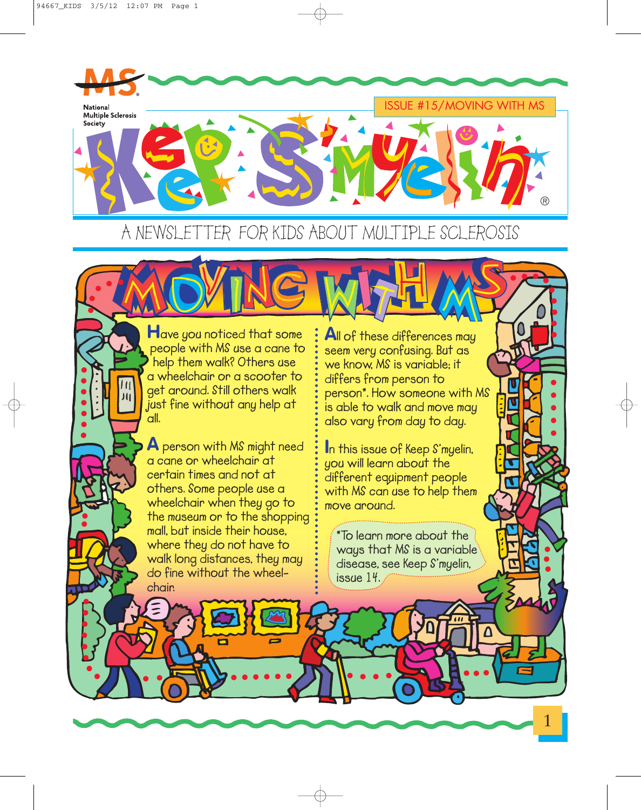$J($ 



A NEWSLETTER FOR KIDS ABOUT MULTIPLE SCLEROSIS

**Have you noticed that some people with MS use a cane to help them walk? Others use a wheelchair or a scooter to get around. Still others walk just fine without any help at all.**

**A person with MS might need a cane or wheelchair at certain times and not at others. Some people use a wheelchair when they go to the museum or to the shopping mall, but inside their house, where they do not have to walk long distances, they may do fine without the wheelchair.**

**All of these differences may seem very confusing. But as we know, MS is variable; it differs from person to person\*. How someone with MS is able to walk and move may also vary from day to day.**

**I<sup>n</sup> this issue of Keep S'myelin, you will learn about the different equipment people with MS can use to help them move around.**

**\*To learn more about the ways that MS is a variable disease, see Keep S'myelin, issue 14.**

1

IV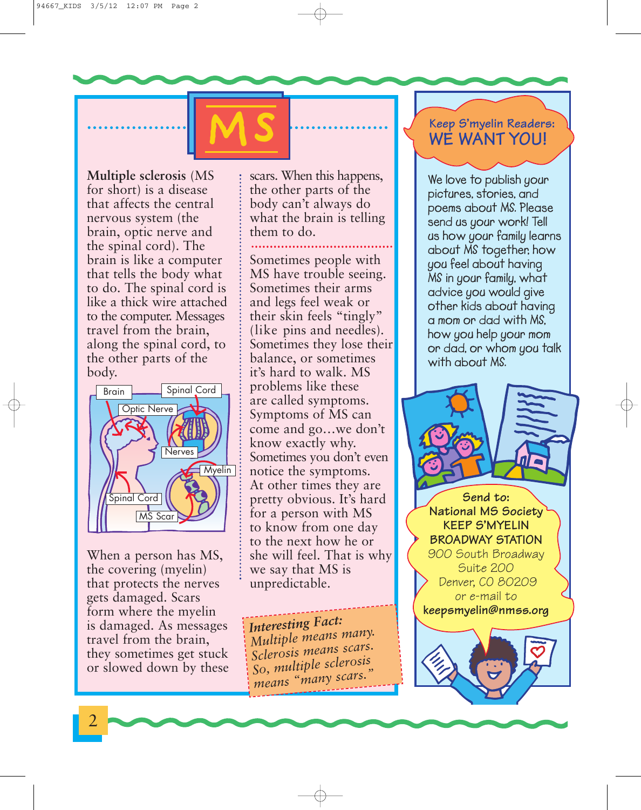94667\_KIDS 3/5/12 12:07 PM Page 2

**Multiple sclerosis** (MS for short) is a disease that affects the central nervous system (the brain, optic nerve and the spinal cord). The brain is like a computer that tells the body what to do. The spinal cord is like a thick wire attached to the computer. Messages travel from the brain, along the spinal cord, to the other parts of the body.



When a person has MS, the covering (myelin) that protects the nerves gets damaged. Scars form where the myelin is damaged. As messages travel from the brain, they sometimes get stuck or slowed down by these scars. When this happens, the other parts of the body can't always do what the brain is telling them to do.

**MS**

Sometimes people with MS have trouble seeing. Sometimes their arms and legs feel weak or their skin feels "tingly" (like pins and needles). Sometimes they lose their balance, or sometimes it's hard to walk. MS problems like these are called symptoms. Symptoms of MS can come and go…we don't know exactly why. Sometimes you don't even notice the symptoms. At other times they are pretty obvious. It's hard for a person with MS to know from one day to the next how he or she will feel. That is why we say that MS is unpredictable.

*Interesting Fact: Multiple means many. Sclerosis means scars. So, multiple sclerosis means "many scars."*

# **Keep S'myelin Readers: WE WANT YOU!**

**We love to publish your pictures, stories, and poems about MS. Please send us your work! Tell us how your family learns about MS together, how you feel about having MS in your family, what advice you would give other kids about having a mom or dad with MS, how you help your mom or dad, or whom you talk with about MS.**

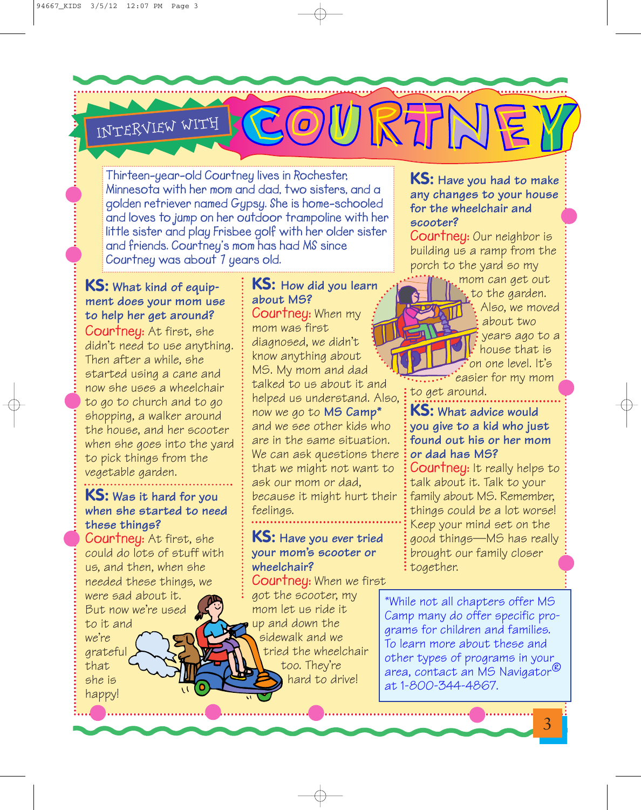# INTERVIEW WITH

**Thirteen-year-old Courtney lives in Rochester, Minnesota with her mom and dad, two sisters, and a golden retriever named Gypsy. She is home-schooled and loves to jump on her outdoor trampoline with her little sister and play Frisbee golf with her older sister and friends. Courtney's mom has had MS since Courtney was about 7 years old.**

#### **KS: What kind of equipment does your mom use to help her get around?**

**Courtney:** At first, she didn't need to use anything. Then after a while, she started using a cane and now she uses a wheelchair to go to church and to go shopping, a walker around the house, and her scooter when she goes into the yard to pick things from the vegetable garden.

# **KS: Was it hard for you when she started to need these things?**

**Courtney:** At first, she could do lots of stuff with us, and then, when she needed these things, we were sad about it. But now we're used to it and we're grateful that

she is happy!

#### **KS: How did you learn about MS? Courtney:** When my mom was first diagnosed, we didn't know anything about MS. My mom and dad talked to us about it and helped us understand. Also, now we go to **MS Camp\*** and we see other kids who are in the same situation. We can ask questions there that we might not want to ask our mom or dad, because it might hurt their feelings.

## **KS: Have you ever tried your mom's scooter or wheelchair?**

**Courtney:** When we first got the scooter, my mom let us ride it up and down the sidewalk and we tried the wheelchair too. They're hard to drive!

#### **KS: Have you had to make any changes to your house for the wheelchair and scooter?**

**Courtney:** Our neighbor is building us a ramp from the porch to the yard so my



COURTINEY

to the garden. Also, we moved about two years ago to a house that is on one level. It's easier for my mom

to get around.

### **KS: What advice would you give to a kid who just found out his or her mom or dad has MS?**

**Courtney:** It really helps to talk about it. Talk to your family about MS. Remember, things could be a lot worse! Keep your mind set on the good things—MS has really brought our family closer together.

\*While not all chapters offer MS Camp many do offer specific programs for children and families. To learn more about these and other types of programs in your area, contact an MS Navigator® at 1-800-344-4867.

3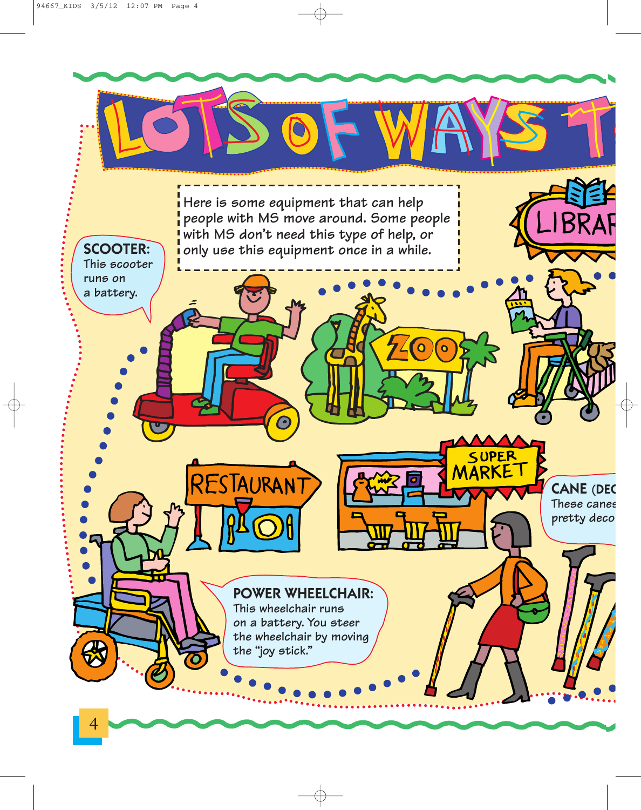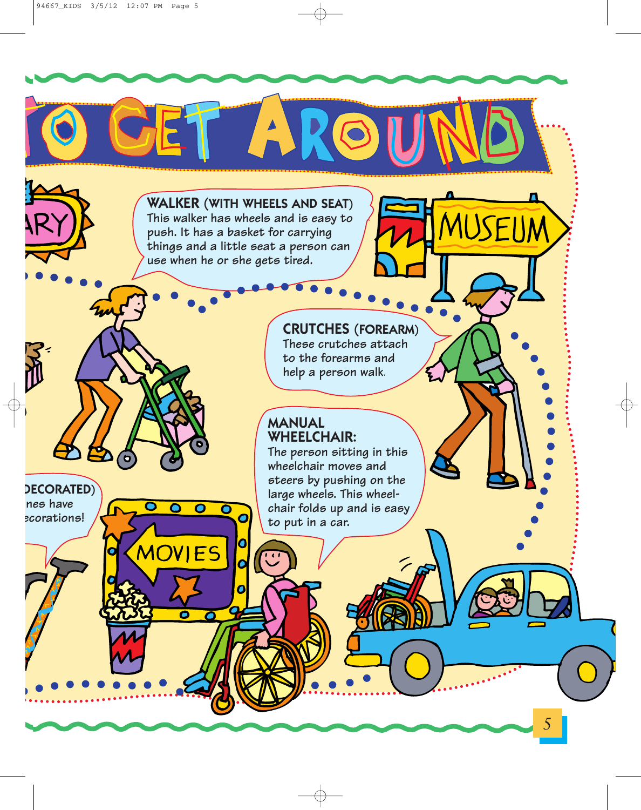

A

**push. It has a basket for carrying things and a little seat a person can use when he or she gets tired.**

# **CRUTCHES (FOREARM)**

**These crutches attach to the forearms and help a person walk**.

#### **MANUAL WHEELCHAIR:**

**The person sitting in this wheelchair moves and steers by pushing on the large wheels. This wheelchair folds up and is easy to put in a car.**

5

**DECORATED) nes have ecorations!**

 $\overline{\mathbf{O}}$ 

MOVIES

 $\overline{\mathbf{O}}$ 

O

 $\overline{\mathbf{o}}$ 

 $\overline{\mathbf{o}}$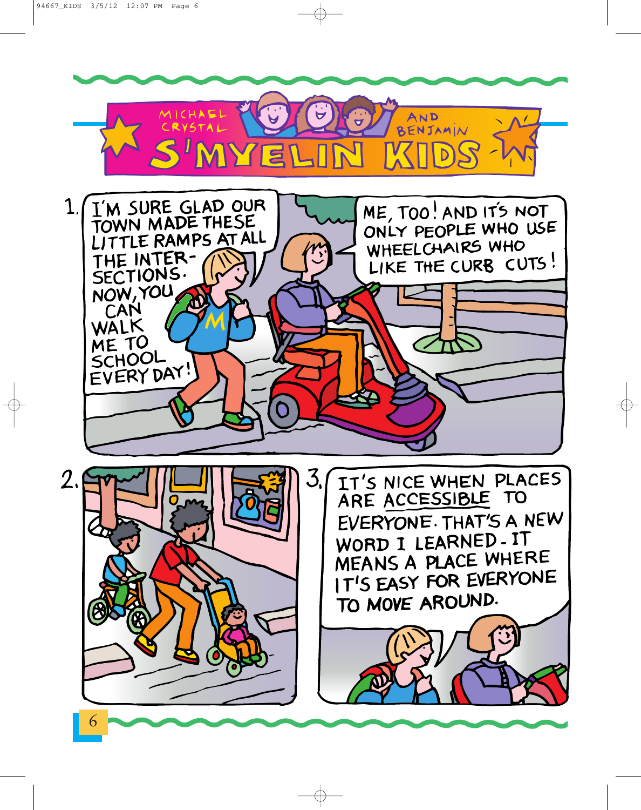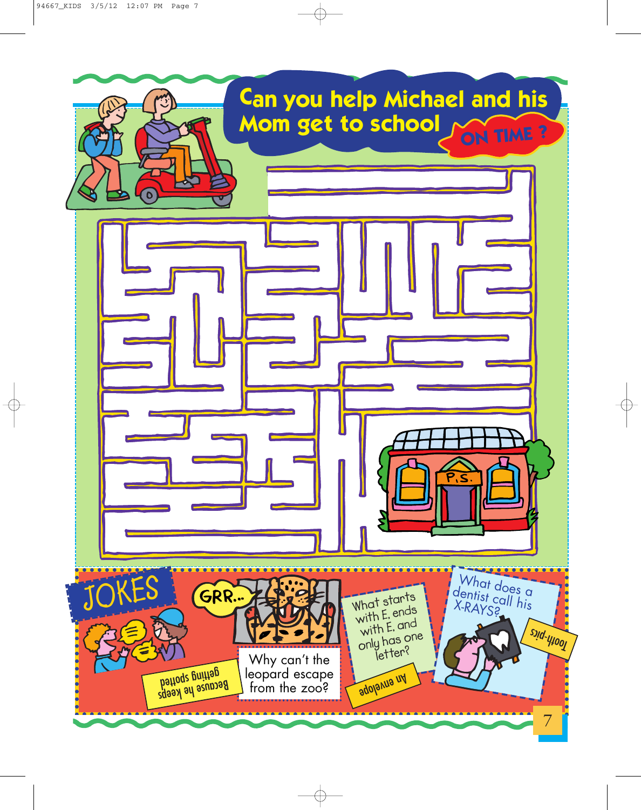

 $\oplus$